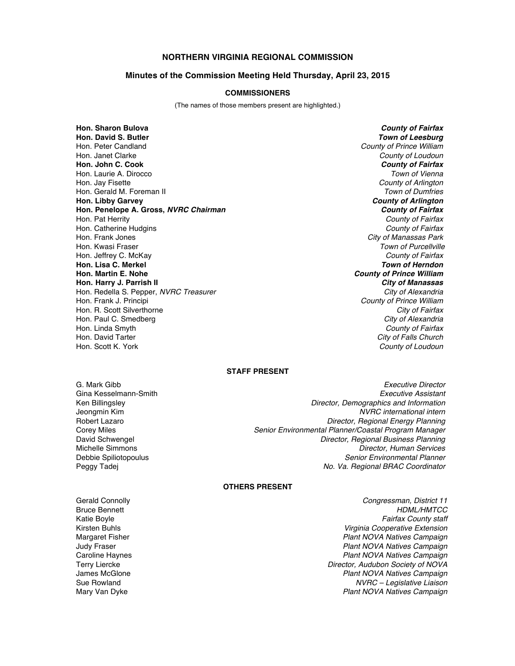# **NORTHERN VIRGINIA REGIONAL COMMISSION**

#### **Minutes of the Commission Meeting Held Thursday, April 23, 2015**

#### **COMMISSIONERS**

(The names of those members present are highlighted.)

**Hon. Sharon Bulova** *County of Fairfax* **Hon. David S. Butler** *Town of Leesburg* Hon. Peter Candland *County of Prince William* Hon. Janet Clarke *County of Loudoun* **Hon. John C. Cook** *County of Fairfax* Hon. Laurie A. Dirocco *Town of Vienna* Hon. Jay Fisette *County of Arlington* Hon. Gerald M. Foreman II *Town of Dumfries* **Hon. Libby Garvey** *County of Arlington* **Hon. Penelope A. Gross,** *NVRC Chairman County of Fairfax* Hon. Pat Herrity *County of Fairfax* Hon. Catherine Hudgins *County of Fairfax* Hon. Frank Jones *City of Manassas Park* Hon. Kwasi Fraser *Town of Purcellville* Hon. Jeffrey C. McKay *County of Fairfax* **Hon. Lisa C. Merkel<br>Hon. Martin E. Nohe Hon. Harry J. Parrish II** *City of Manassas* Hon. Redella S. Pepper, *NVRC Treasurer* Hon. Frank J. Principi *County of Prince William* Hon. R. Scott Silverthorne *City of Fairfax* Hon. Paul C. Smedberg *City of Alexandria* Hon. Linda Smyth *County of Fairfax* Hon. David Tarter *City of Falls Church*

**County of Prince William County of Loudoun** 

### **STAFF PRESENT**

G. Mark Gibb *Executive Director* Gina Kesselmann-Smith *Executive Assistant* **Director, Demographics and Information** Jeongmin Kim *NVRC international intern* **Director, Regional Energy Planning** Corey Miles *Senior Environmental Planner/Coastal Program Manager* David Schwengel *Director, Regional Business Planning* Michelle Simmons *Director, Human Services* Debbie Spiliotopoulus *Senior Environmental Planner* Peggy Tadej *No. Va. Regional BRAC Coordinator*

## **OTHERS PRESENT**

Gerald Connolly *Congressman, District 11* Bruce Bennett<br>Katie Boyle **All Expansion Community Community Community Community Community Community Community Community Community**<br>Fairfax County staff **Fairfax County staff** Kirsten Buhls *Virginia Cooperative Extension* Margaret Fisher *Plant NOVA Natives Campaign* Judy Fraser *Plant NOVA Natives Campaign* Caroline Haynes *Plant NOVA Natives Campaign* Terry Liercke *Director, Audubon Society of NOVA* **Plant NOVA Natives Campaign** Sue Rowland *NVRC – Legislative Liaison* Mary Van Dyke *Plant NOVA Natives Campaign*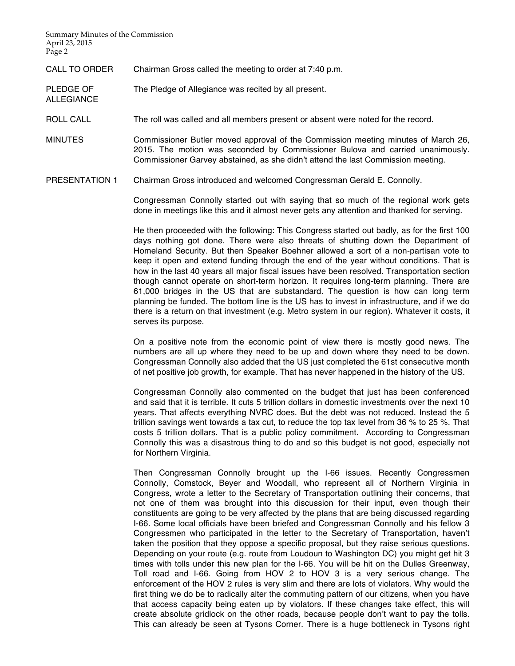Summary Minutes of the Commission April 23, 2015 Page 2

ALLEGIANCE

CALL TO ORDER Chairman Gross called the meeting to order at 7:40 p.m.

PLEDGE OF The Pledge of Allegiance was recited by all present.

ROLL CALL The roll was called and all members present or absent were noted for the record.

MINUTES Commissioner Butler moved approval of the Commission meeting minutes of March 26, 2015. The motion was seconded by Commissioner Bulova and carried unanimously. Commissioner Garvey abstained, as she didn't attend the last Commission meeting.

PRESENTATION 1 Chairman Gross introduced and welcomed Congressman Gerald E. Connolly.

Congressman Connolly started out with saying that so much of the regional work gets done in meetings like this and it almost never gets any attention and thanked for serving.

He then proceeded with the following: This Congress started out badly, as for the first 100 days nothing got done. There were also threats of shutting down the Department of Homeland Security. But then Speaker Boehner allowed a sort of a non-partisan vote to keep it open and extend funding through the end of the year without conditions. That is how in the last 40 years all major fiscal issues have been resolved. Transportation section though cannot operate on short-term horizon. It requires long-term planning. There are 61,000 bridges in the US that are substandard. The question is how can long term planning be funded. The bottom line is the US has to invest in infrastructure, and if we do there is a return on that investment (e.g. Metro system in our region). Whatever it costs, it serves its purpose.

On a positive note from the economic point of view there is mostly good news. The numbers are all up where they need to be up and down where they need to be down. Congressman Connolly also added that the US just completed the 61st consecutive month of net positive job growth, for example. That has never happened in the history of the US.

Congressman Connolly also commented on the budget that just has been conferenced and said that it is terrible. It cuts 5 trillion dollars in domestic investments over the next 10 years. That affects everything NVRC does. But the debt was not reduced. Instead the 5 trillion savings went towards a tax cut, to reduce the top tax level from 36 % to 25 %. That costs 5 trillion dollars. That is a public policy commitment. According to Congressman Connolly this was a disastrous thing to do and so this budget is not good, especially not for Northern Virginia.

Then Congressman Connolly brought up the I-66 issues. Recently Congressmen Connolly, Comstock, Beyer and Woodall, who represent all of Northern Virginia in Congress, wrote a letter to the Secretary of Transportation outlining their concerns, that not one of them was brought into this discussion for their input, even though their constituents are going to be very affected by the plans that are being discussed regarding I-66. Some local officials have been briefed and Congressman Connolly and his fellow 3 Congressmen who participated in the letter to the Secretary of Transportation, haven't taken the position that they oppose a specific proposal, but they raise serious questions. Depending on your route (e.g. route from Loudoun to Washington DC) you might get hit 3 times with tolls under this new plan for the I-66. You will be hit on the Dulles Greenway, Toll road and I-66. Going from HOV 2 to HOV 3 is a very serious change. The enforcement of the HOV 2 rules is very slim and there are lots of violators. Why would the first thing we do be to radically alter the commuting pattern of our citizens, when you have that access capacity being eaten up by violators. If these changes take effect, this will create absolute gridlock on the other roads, because people don't want to pay the tolls. This can already be seen at Tysons Corner. There is a huge bottleneck in Tysons right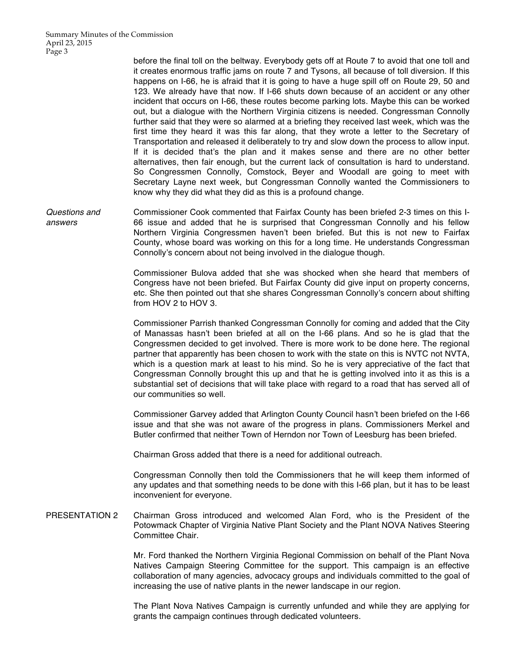before the final toll on the beltway. Everybody gets off at Route 7 to avoid that one toll and it creates enormous traffic jams on route 7 and Tysons, all because of toll diversion. If this happens on I-66, he is afraid that it is going to have a huge spill off on Route 29, 50 and 123. We already have that now. If I-66 shuts down because of an accident or any other incident that occurs on I-66, these routes become parking lots. Maybe this can be worked out, but a dialogue with the Northern Virginia citizens is needed. Congressman Connolly further said that they were so alarmed at a briefing they received last week, which was the first time they heard it was this far along, that they wrote a letter to the Secretary of Transportation and released it deliberately to try and slow down the process to allow input. If it is decided that's the plan and it makes sense and there are no other better alternatives, then fair enough, but the current lack of consultation is hard to understand. So Congressmen Connolly, Comstock, Beyer and Woodall are going to meet with Secretary Layne next week, but Congressman Connolly wanted the Commissioners to know why they did what they did as this is a profound change.

*Questions and answers* Commissioner Cook commented that Fairfax County has been briefed 2-3 times on this I-66 issue and added that he is surprised that Congressman Connolly and his fellow Northern Virginia Congressmen haven't been briefed. But this is not new to Fairfax County, whose board was working on this for a long time. He understands Congressman Connolly's concern about not being involved in the dialogue though.

> Commissioner Bulova added that she was shocked when she heard that members of Congress have not been briefed. But Fairfax County did give input on property concerns, etc. She then pointed out that she shares Congressman Connolly's concern about shifting from HOV 2 to HOV 3.

> Commissioner Parrish thanked Congressman Connolly for coming and added that the City of Manassas hasn't been briefed at all on the I-66 plans. And so he is glad that the Congressmen decided to get involved. There is more work to be done here. The regional partner that apparently has been chosen to work with the state on this is NVTC not NVTA, which is a question mark at least to his mind. So he is very appreciative of the fact that Congressman Connolly brought this up and that he is getting involved into it as this is a substantial set of decisions that will take place with regard to a road that has served all of our communities so well.

> Commissioner Garvey added that Arlington County Council hasn't been briefed on the I-66 issue and that she was not aware of the progress in plans. Commissioners Merkel and Butler confirmed that neither Town of Herndon nor Town of Leesburg has been briefed.

Chairman Gross added that there is a need for additional outreach.

Congressman Connolly then told the Commissioners that he will keep them informed of any updates and that something needs to be done with this I-66 plan, but it has to be least inconvenient for everyone.

PRESENTATION 2 Chairman Gross introduced and welcomed Alan Ford, who is the President of the Potowmack Chapter of Virginia Native Plant Society and the Plant NOVA Natives Steering Committee Chair.

> Mr. Ford thanked the Northern Virginia Regional Commission on behalf of the Plant Nova Natives Campaign Steering Committee for the support. This campaign is an effective collaboration of many agencies, advocacy groups and individuals committed to the goal of increasing the use of native plants in the newer landscape in our region.

> The Plant Nova Natives Campaign is currently unfunded and while they are applying for grants the campaign continues through dedicated volunteers.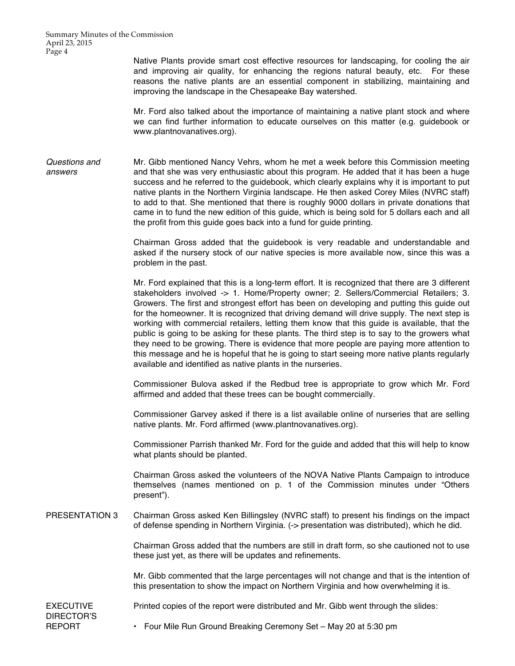Summary Minutes of the Commission April 23, 2015 Page 4

> Native Plants provide smart cost effective resources for landscaping, for cooling the air and improving air quality, for enhancing the regions natural beauty, etc. For these reasons the native plants are an essential component in stabilizing, maintaining and improving the landscape in the Chesapeake Bay watershed.

> Mr. Ford also talked about the importance of maintaining a native plant stock and where we can find further information to educate ourselves on this matter (e.g. guidebook or www.plantnovanatives.org).

*Questions and answers* Mr. Gibb mentioned Nancy Vehrs, whom he met a week before this Commission meeting and that she was very enthusiastic about this program. He added that it has been a huge success and he referred to the guidebook, which clearly explains why it is important to put native plants in the Northern Virginia landscape. He then asked Corey Miles (NVRC staff) to add to that. She mentioned that there is roughly 9000 dollars in private donations that came in to fund the new edition of this guide, which is being sold for 5 dollars each and all the profit from this guide goes back into a fund for guide printing.

> Chairman Gross added that the guidebook is very readable and understandable and asked if the nursery stock of our native species is more available now, since this was a problem in the past.

> Mr. Ford explained that this is a long-term effort. It is recognized that there are 3 different stakeholders involved -> 1. Home/Property owner; 2. Sellers/Commercial Retailers; 3. Growers. The first and strongest effort has been on developing and putting this guide out for the homeowner. It is recognized that driving demand will drive supply. The next step is working with commercial retailers, letting them know that this guide is available, that the public is going to be asking for these plants. The third step is to say to the growers what they need to be growing. There is evidence that more people are paying more attention to this message and he is hopeful that he is going to start seeing more native plants regularly available and identified as native plants in the nurseries.

> Commissioner Bulova asked if the Redbud tree is appropriate to grow which Mr. Ford affirmed and added that these trees can be bought commercially.

> Commissioner Garvey asked if there is a list available online of nurseries that are selling native plants. Mr. Ford affirmed (www.plantnovanatives.org).

> Commissioner Parrish thanked Mr. Ford for the guide and added that this will help to know what plants should be planted.

> Chairman Gross asked the volunteers of the NOVA Native Plants Campaign to introduce themselves (names mentioned on p. 1 of the Commission minutes under "Others present").

PRESENTATION 3 Chairman Gross asked Ken Billingsley (NVRC staff) to present his findings on the impact of defense spending in Northern Virginia. (-> presentation was distributed), which he did.

> Chairman Gross added that the numbers are still in draft form, so she cautioned not to use these just yet, as there will be updates and refinements.

> Mr. Gibb commented that the large percentages will not change and that is the intention of this presentation to show the impact on Northern Virginia and how overwhelming it is.

EXECUTIVE DIRECTOR'S REPORT

Printed copies of the report were distributed and Mr. Gibb went through the slides:

• Four Mile Run Ground Breaking Ceremony Set – May 20 at 5:30 pm